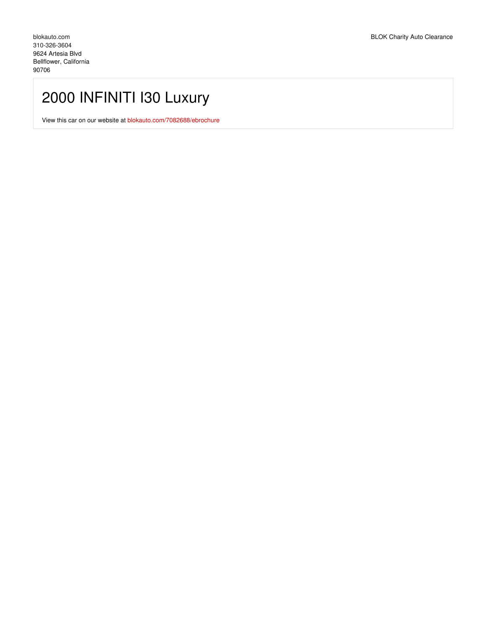## 2000 INFINITI I30 Luxury

View this car on our website at [blokauto.com/7082688/ebrochure](https://blokauto.com/vehicle/7082688/2000-infiniti-i30-luxury-bellflower-california-90706/7082688/ebrochure)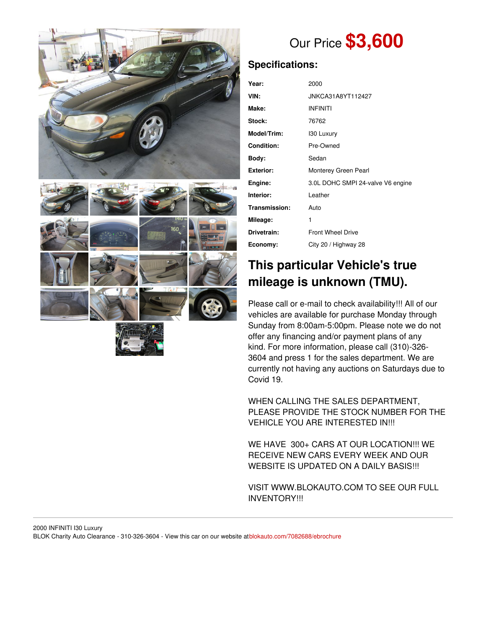



# Our Price **\$3,600**

## **Specifications:**

| Year:             | 2000                              |
|-------------------|-----------------------------------|
| VIN:              | JNKCA31A8YT112427                 |
| Make:             | <b>INFINITI</b>                   |
| Stock:            | 76762                             |
| Model/Trim:       | <b>130 Luxury</b>                 |
| <b>Condition:</b> | Pre-Owned                         |
| Body:             | Sedan                             |
| <b>Exterior:</b>  | Monterey Green Pearl              |
| Engine:           | 3.0L DOHC SMPI 24-valve V6 engine |
| Interior:         | Leather                           |
| Transmission:     | Auto                              |
| Mileage:          | 1                                 |
| Drivetrain:       | <b>Front Wheel Drive</b>          |
| Economy:          | City 20 / Highway 28              |

## **This particular Vehicle's true mileage is unknown (TMU).**

Please call or e-mail to check availability!!! All of our vehicles are available for purchase Monday through Sunday from 8:00am-5:00pm. Please note we do not offer any financing and/or payment plans of any kind. For more information, please call (310)-326- 3604 and press 1 for the sales department. We are currently not having any auctions on Saturdays due to Covid 19.

WHEN CALLING THE SALES DEPARTMENT, PLEASE PROVIDE THE STOCK NUMBER FOR THE VEHICLE YOU ARE INTERESTED IN!!!

WE HAVE 300+ CARS AT OUR LOCATION!!! WE RECEIVE NEW CARS EVERY WEEK AND OUR WEBSITE IS UPDATED ON A DAILY BASIS!!!

VISIT WWW.BLOKAUTO.COM TO SEE OUR FULL INVENTORY!!!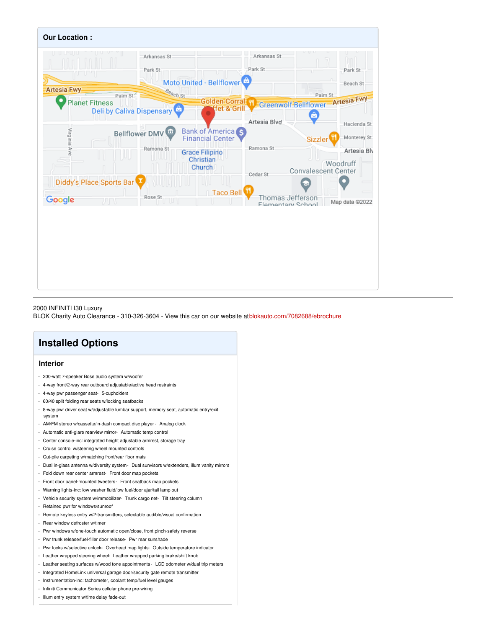

#### 2000 INFINITI I30 Luxury

BLOK Charity Auto Clearance - 310-326-3604 - View this car on our website at[blokauto.com/7082688/ebrochure](https://blokauto.com/vehicle/7082688/2000-infiniti-i30-luxury-bellflower-california-90706/7082688/ebrochure)

## **Installed Options**

### **Interior**

- 200-watt 7-speaker Bose audio system w/woofer
- 4-way front/2-way rear outboard adjustable/active head restraints
- 4-way pwr passenger seat- 5-cupholders
- 60/40 split folding rear seats w/locking seatbacks
- 8-way pwr driver seat w/adjustable lumbar support, memory seat, automatic entry/exit system
- AM/FM stereo w/cassette/in-dash compact disc player Analog clock
- Automatic anti-glare rearview mirror- Automatic temp control
- Center console-inc: integrated height adjustable armrest, storage tray
- Cruise control w/steering wheel mounted controls
- Cut-pile carpeting w/matching front/rear floor mats
- Dual in-glass antenna w/diversity system- Dual sunvisors w/extenders, illum vanity mirrors
- Fold down rear center armrest- Front door map pockets
- Front door panel-mounted tweeters- Front seatback map pockets
- Warning lights-inc: low washer fluid/low fuel/door ajar/tail lamp out
- Vehicle security system w/immobilizer- Trunk cargo net- Tilt steering column
- Retained pwr for windows/sunroof
- Remote keyless entry w/2-transmitters, selectable audible/visual confirmation
- Rear window defroster w/timer
- Pwr windows w/one-touch automatic open/close, front pinch-safety reverse
- Pwr trunk release/fuel-filler door release- Pwr rear sunshade
- Pwr locks w/selective unlock- Overhead map lights- Outside temperature indicator
- Leather wrapped steering wheel- Leather wrapped parking brake/shift knob
- Leather seating surfaces w/wood tone appointments LCD odometer w/dual trip meters
- Integrated HomeLink universal garage door/security gate remote transmitter
- Instrumentation-inc: tachometer, coolant temp/fuel level gauges
- Infiniti Communicator Series cellular phone pre-wiring
- Illum entry system w/time delay fade-out